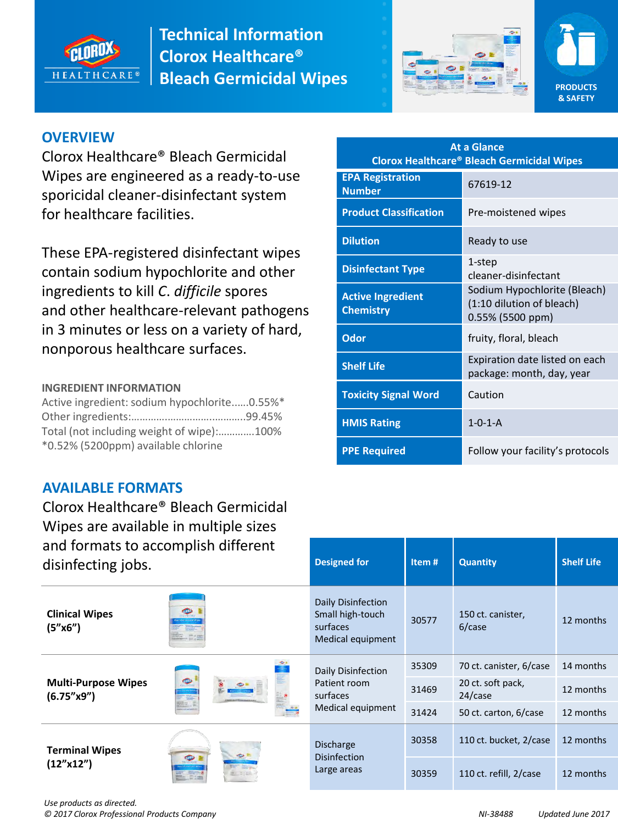





## **OVERVIEW**

Clorox Healthcare® Bleach Germicidal Wipes are engineered as a ready-to-use sporicidal cleaner-disinfectant system for healthcare facilities.

These EPA-registered disinfectant wipes contain sodium hypochlorite and other ingredients to kill *C*. *difficile* spores and other healthcare-relevant pathogens in 3 minutes or less on a variety of hard, nonporous healthcare surfaces.

#### **INGREDIENT INFORMATION**

Active ingredient: sodium hypochlorite..….0.55%\* Other ingredients:………….……………..………..99.45% Total (not including weight of wipe):………….100% \*0.52% (5200ppm) available chlorine

#### **AVAILABLE FORMATS**

Clorox Healthcare® Bleach Germicidal Wipes are available in multiple sizes and formats to accomplish different

| <b>At a Glance</b><br><b>Clorox Healthcare® Bleach Germicidal Wipes</b> |                                                                                  |  |  |  |  |  |
|-------------------------------------------------------------------------|----------------------------------------------------------------------------------|--|--|--|--|--|
| <b>EPA Registration</b><br><b>Number</b>                                | 67619-12                                                                         |  |  |  |  |  |
| <b>Product Classification</b>                                           | Pre-moistened wipes                                                              |  |  |  |  |  |
| <b>Dilution</b>                                                         | Ready to use                                                                     |  |  |  |  |  |
| <b>Disinfectant Type</b>                                                | 1-step<br>cleaner-disinfectant                                                   |  |  |  |  |  |
| <b>Active Ingredient</b><br><b>Chemistry</b>                            | Sodium Hypochlorite (Bleach)<br>(1:10 dilution of bleach)<br>$0.55\%$ (5500 ppm) |  |  |  |  |  |
| Odor                                                                    | fruity, floral, bleach                                                           |  |  |  |  |  |
| <b>Shelf Life</b>                                                       | Expiration date listed on each<br>package: month, day, year                      |  |  |  |  |  |
| <b>Toxicity Signal Word</b>                                             | Caution                                                                          |  |  |  |  |  |
| <b>HMIS Rating</b>                                                      | $1 - 0 - 1 - A$                                                                  |  |  |  |  |  |
| <b>PPE Required</b>                                                     | Follow your facility's protocols                                                 |  |  |  |  |  |

| disinfecting jobs.                                      | and formats to accomplish different | <b>Designed for</b>                                                     | Item# | <b>Quantity</b>              | <b>Shelf Life</b> |
|---------------------------------------------------------|-------------------------------------|-------------------------------------------------------------------------|-------|------------------------------|-------------------|
| <b>Clinical Wipes</b><br>(5"x6")                        |                                     | Daily Disinfection<br>Small high-touch<br>surfaces<br>Medical equipment | 30577 | 150 ct. canister,<br>6/case  | 12 months         |
|                                                         |                                     | Daily Disinfection<br>Patient room<br>surfaces<br>Medical equipment     | 35309 | 70 ct. canister, 6/case      | 14 months         |
| <b>Multi-Purpose Wipes</b><br>(6.75'' <sub>x</sub> 9'') |                                     |                                                                         | 31469 | 20 ct. soft pack,<br>24/case | 12 months         |
|                                                         |                                     |                                                                         | 31424 | 50 ct. carton, 6/case        | 12 months         |
| <b>Terminal Wipes</b>                                   | $\bigcirc$                          | <b>Discharge</b><br><b>Disinfection</b><br>Large areas                  | 30358 | 110 ct. bucket, 2/case       | 12 months         |
| (12''x12'')                                             |                                     |                                                                         | 30359 | 110 ct. refill, 2/case       | 12 months         |

*Use products as directed. © 2017 Clorox Professional Products Company NI-38488 Updated June 2017*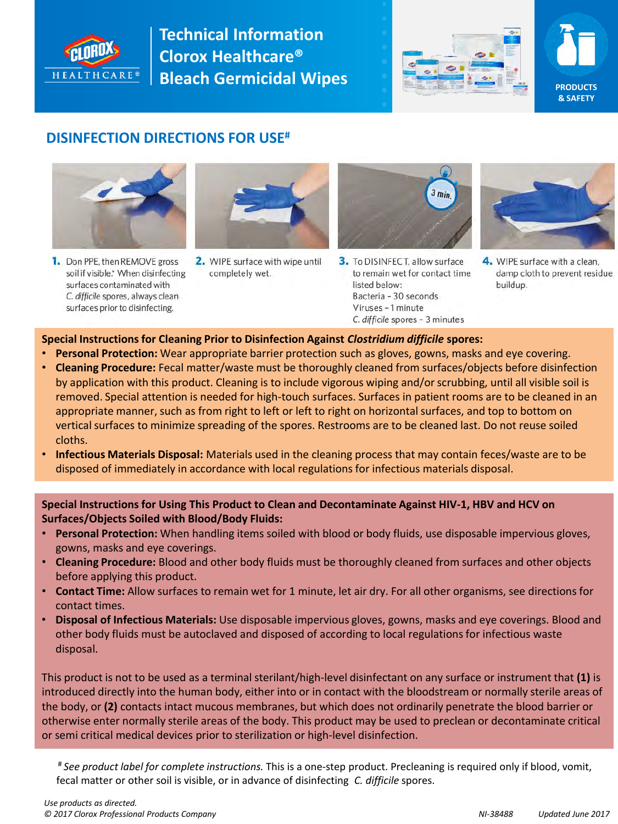





#### **DISINFECTION DIRECTIONS FOR USE#**



1. Don PPE, then REMOVE gross soil if visible.\* When disinfecting surfaces contaminated with C. difficile spores, always clean surfaces prior to disinfecting.



2. WIPE surface with wipe until completely wet.



3. To DISINFECT, allow surface to remain wet for contact time listed below: Bacteria - 30 seconds Viruses - 1 minute C. difficile spores - 3 minutes



4. WIPE surface with a clean. damp cloth to prevent residue buildup.

#### **Special Instructions for Cleaning Prior to Disinfection Against** *Clostridium difficile* **spores:**

- **Personal Protection:** Wear appropriate barrier protection such as gloves, gowns, masks and eye covering.
- **Cleaning Procedure:** Fecal matter/waste must be thoroughly cleaned from surfaces/objects before disinfection by application with this product. Cleaning is to include vigorous wiping and/or scrubbing, until all visible soil is removed. Special attention is needed for high-touch surfaces. Surfaces in patient rooms are to be cleaned in an appropriate manner, such as from right to left or left to right on horizontal surfaces, and top to bottom on vertical surfaces to minimize spreading of the spores. Restrooms are to be cleaned last. Do not reuse soiled cloths.
- **Infectious Materials Disposal:** Materials used in the cleaning process that may contain feces/waste are to be disposed of immediately in accordance with local regulations for infectious materials disposal.

**Special Instructions for Using This Product to Clean and Decontaminate Against HIV-1, HBV and HCV on Surfaces/Objects Soiled with Blood/Body Fluids:** 

- **Personal Protection:** When handling items soiled with blood or body fluids, use disposable impervious gloves, gowns, masks and eye coverings.
- **Cleaning Procedure:** Blood and other body fluids must be thoroughly cleaned from surfaces and other objects before applying this product.
- **Contact Time:** Allow surfaces to remain wet for 1 minute, let air dry. For all other organisms, see directions for contact times.
- **Disposal of Infectious Materials:** Use disposable impervious gloves, gowns, masks and eye coverings. Blood and other body fluids must be autoclaved and disposed of according to local regulations for infectious waste disposal.

This product is not to be used as a terminal sterilant/high-level disinfectant on any surface or instrument that **(1)** is introduced directly into the human body, either into or in contact with the bloodstream or normally sterile areas of the body, or **(2)** contacts intact mucous membranes, but which does not ordinarily penetrate the blood barrier or otherwise enter normally sterile areas of the body. This product may be used to preclean or decontaminate critical or semi critical medical devices prior to sterilization or high-level disinfection.

# *See product label for complete instructions.* This is a one-step product. Precleaning is required only if blood, vomit, fecal matter or other soil is visible, or in advance of disinfecting *C. difficile* spores.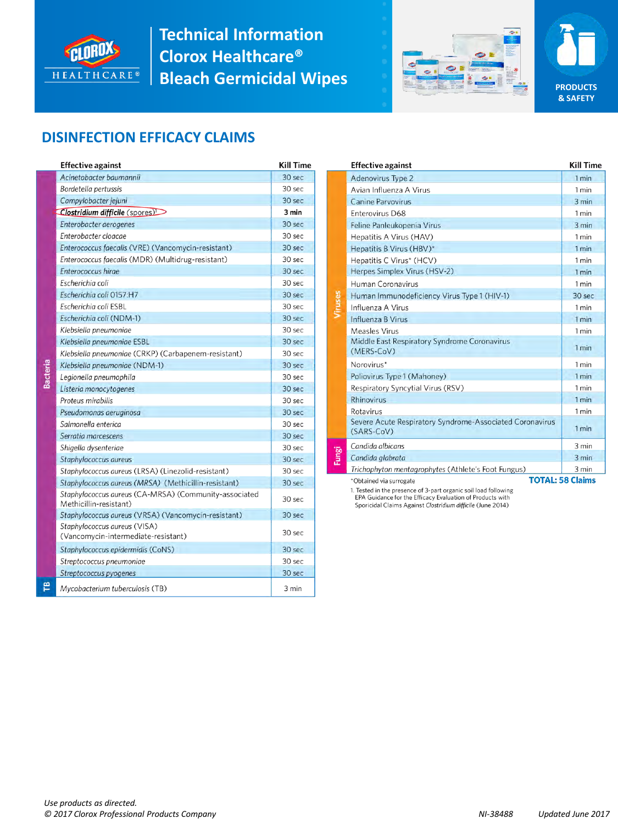



**PRODUCTS & SAFETY** 

## **DISINFECTION EFFICACY CLAIMS**

|   | <b>Effective against</b>                                                        | Kill Time         |
|---|---------------------------------------------------------------------------------|-------------------|
|   | Acinetobacter baumannii                                                         | 30 sec            |
|   | Bordetella pertussis                                                            | 30 sec            |
|   | Campylobacter jejuni                                                            | 30 sec            |
|   | Clostridium difficile (spores)                                                  | 3 min             |
|   | Enterobacter aerogenes                                                          | 30 <sub>sec</sub> |
|   | Enterobacter cloacae                                                            | 30 sec            |
|   | Enterococcus faecalis (VRE) (Vancomycin-resistant)                              | 30 <sub>sec</sub> |
|   | Enterococcus faecalis (MDR) (Multidrug-resistant)                               | 30 sec            |
|   | Enterococcus hirge                                                              | 30 sec            |
|   | Escherichia coli                                                                | 30 sec            |
|   | Escherichia coli 0157:H7                                                        | 30 sec            |
|   | Escherichia coli ESBL                                                           | 30 sec            |
|   | Escherichia coli (NDM-1)                                                        | 30 sec            |
|   | Klebsiella pneumoniae                                                           | 30 sec            |
|   | Klebsiella pneumoniae ESBL                                                      | 30 sec            |
|   | Klebsiella pneumoniae (CRKP) (Carbapenem-resistant)                             | 30 sec            |
|   | Klebsiella pneumoniae (NDM-1)                                                   | 30 sec            |
|   | Legionella pneumophila                                                          | 30 sec            |
|   | Listeria monocytogenes                                                          | 30 sec            |
|   | Proteus mirabilis                                                               | 30 sec            |
|   | Pseudomonas aeruginosa                                                          | 30 sec            |
|   | Salmonella enterica                                                             | 30 sec            |
|   | Serratia marcescens                                                             | 30 sec            |
|   | Shigella dysenteriae                                                            | 30 sec            |
|   | Staphylococcus aureus                                                           | 30 sec            |
|   | Staphylococcus aureus (LRSA) (Linezolid-resistant)                              | 30 sec            |
|   | Staphylococcus aureus (MRSA) (Methicillin-resistant)                            | 30 sec            |
|   | Staphylococcus aureus (CA-MRSA) (Community-associated<br>Methicillin-resistant) | 30 sec            |
|   | Staphylococcus aureus (VRSA) (Vancomycin-resistant)                             | 30 sec            |
|   | Staphylococcus aureus (VISA)<br>(Vancomycin-intermediate-resistant)             | 30 sec            |
|   | Staphylococcus epidermidis (CoNS)                                               | 30 sec            |
|   | Streptococcus pneumoniae                                                        | 30 sec            |
|   | Streptococcus pyogenes                                                          | 30 sec            |
| ì | Mycobacterium tuberculosis (TB)                                                 | 3 min             |

|   | <b>Effective against</b>                                               | <b>Kill Time</b> |  |  |
|---|------------------------------------------------------------------------|------------------|--|--|
|   | Adenovirus Type 2                                                      | 1 min            |  |  |
|   | Avian Influenza A Virus                                                | 1 min            |  |  |
|   | <b>Canine Parvovirus</b>                                               | 3 min            |  |  |
|   | Enterovirus D68                                                        | 1 min            |  |  |
|   | Feline Panleukopenia Virus                                             | 3 min            |  |  |
|   | Hepatitis A Virus (HAV)                                                | 1 min            |  |  |
|   | Hepatitis B Virus (HBV)*                                               | 1 min            |  |  |
|   | Hepatitis C Virus* (HCV)                                               | 1 min            |  |  |
|   | Herpes Simplex Virus (HSV-2)                                           | 1 min            |  |  |
|   | Human Coronavirus                                                      | 1 min            |  |  |
|   | Human Immunodeficiency Virus Type 1 (HIV-1)                            | 30 sec           |  |  |
|   | Influenza A Virus                                                      | 1 min            |  |  |
|   | Influenza B Virus                                                      | 1 min            |  |  |
|   | Measles Virus                                                          | 1 min            |  |  |
|   | Middle East Respiratory Syndrome Coronavirus<br>(MERS-CoV)             | 1 min            |  |  |
|   | Norovirus*                                                             | 1 min            |  |  |
|   | Poliovirus Type 1 (Mahoney)                                            | 1 min            |  |  |
|   | Respiratory Syncytial Virus (RSV)                                      | 1 min            |  |  |
|   | <b>Rhinovirus</b>                                                      | 1 min            |  |  |
|   | Rotavirus                                                              | 1 min            |  |  |
|   | Severe Acute Respiratory Syndrome-Associated Coronavirus<br>(SARS-CoV) | 1 min            |  |  |
|   | Candida albicans                                                       | 3 min            |  |  |
| ò | Candida glabrata                                                       | 3 min            |  |  |
|   | Trichophyton mentagrophytes (Athlete's Foot Fungus)                    | 3 min            |  |  |
|   | <b>TOTAL: 58 Claims</b><br>*Obtained via surrogate                     |                  |  |  |

1. Tested in the presence of 3-part organic soil load following<br>EPA Guidance for the Efficacy Evaluation of Products with Sporicidal Claims Against Clostridium difficile (June 2014)